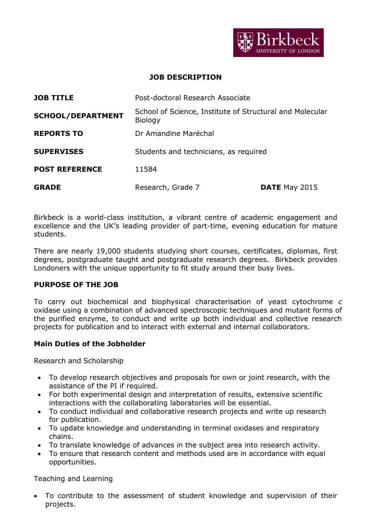

#### **JOB DESCRIPTION**

| <b>JOB TITLE</b>         | Post-doctoral Research Associate                                    |               |
|--------------------------|---------------------------------------------------------------------|---------------|
| <b>SCHOOL/DEPARTMENT</b> | School of Science, Institute of Structural and Molecular<br>Biology |               |
| <b>REPORTS TO</b>        | Dr Amandine Maréchal                                                |               |
| <b>SUPERVISES</b>        | Students and technicians, as required                               |               |
| <b>POST REFERENCE</b>    | 11584                                                               |               |
| <b>GRADE</b>             | Research, Grade 7                                                   | DATE May 2015 |

Birkbeck is a world-class institution, a vibrant centre of academic engagement and excellence and the UK's leading provider of part-time, evening education for mature students.

There are nearly 19,000 students studying short courses, certificates, diplomas, first degrees, postgraduate taught and postgraduate research degrees. Birkbeck provides Londoners with the unique opportunity to fit study around their busy lives.

#### **PURPOSE OF THE JOB**

To carry out biochemical and biophysical characterisation of yeast cytochrome *c* oxidase using a combination of advanced spectroscopic techniques and mutant forms of the purified enzyme, to conduct and write up both individual and collective research projects for publication and to interact with external and internal collaborators.

#### **Main Duties of the Jobholder**

Research and Scholarship

- To develop research objectives and proposals for own or joint research, with the assistance of the PI if required.
- For both experimental design and interpretation of results, extensive scientific interactions with the collaborating laboratories will be essential.
- To conduct individual and collaborative research projects and write up research for publication.
- To update knowledge and understanding in terminal oxidases and respiratory chains.
- To translate knowledge of advances in the subject area into research activity.
- To ensure that research content and methods used are in accordance with equal opportunities.

Teaching and Learning

 To contribute to the assessment of student knowledge and supervision of their projects.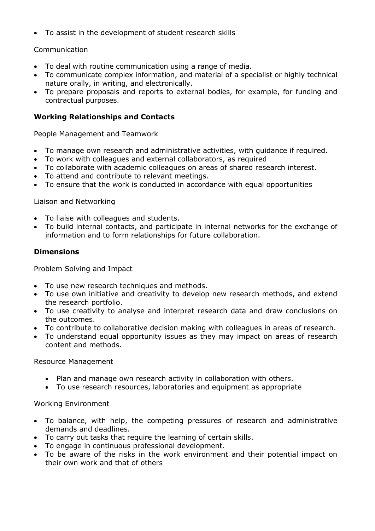To assist in the development of student research skills

## Communication

- To deal with routine communication using a range of media.
- To communicate complex information, and material of a specialist or highly technical nature orally, in writing, and electronically.
- To prepare proposals and reports to external bodies, for example, for funding and contractual purposes.

# **Working Relationships and Contacts**

People Management and Teamwork

- To manage own research and administrative activities, with guidance if required.
- To work with colleagues and external collaborators, as required
- To collaborate with academic colleagues on areas of shared research interest.
- To attend and contribute to relevant meetings.
- To ensure that the work is conducted in accordance with equal opportunities

### Liaison and Networking

- To liaise with colleagues and students.
- To build internal contacts, and participate in internal networks for the exchange of information and to form relationships for future collaboration.

## **Dimensions**

Problem Solving and Impact

- To use new research techniques and methods.
- To use own initiative and creativity to develop new research methods, and extend the research portfolio.
- To use creativity to analyse and interpret research data and draw conclusions on the outcomes.
- To contribute to collaborative decision making with colleagues in areas of research.
- To understand equal opportunity issues as they may impact on areas of research content and methods.

### Resource Management

- Plan and manage own research activity in collaboration with others.
- To use research resources, laboratories and equipment as appropriate

### Working Environment

- To balance, with help, the competing pressures of research and administrative demands and deadlines.
- To carry out tasks that require the learning of certain skills.
- To engage in continuous professional development.
- To be aware of the risks in the work environment and their potential impact on their own work and that of others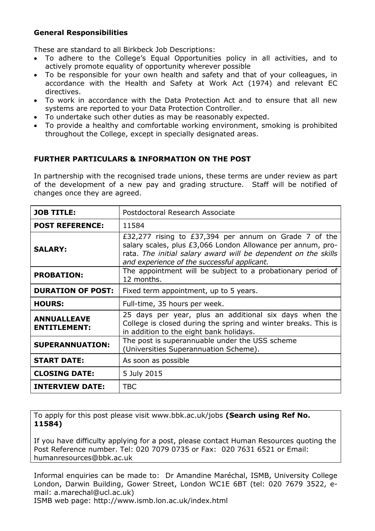## **General Responsibilities**

These are standard to all Birkbeck Job Descriptions:

- To adhere to the College's Equal Opportunities policy in all activities, and to actively promote equality of opportunity wherever possible
- To be responsible for your own health and safety and that of your colleagues, in accordance with the Health and Safety at Work Act (1974) and relevant EC directives.
- To work in accordance with the Data Protection Act and to ensure that all new systems are reported to your Data Protection Controller.
- To undertake such other duties as may be reasonably expected.
- To provide a healthy and comfortable working environment, smoking is prohibited throughout the College, except in specially designated areas.

## **FURTHER PARTICULARS & INFORMATION ON THE POST**

In partnership with the recognised trade unions, these terms are under review as part of the development of a new pay and grading structure. Staff will be notified of changes once they are agreed.

| <b>JOB TITLE:</b>                         | Postdoctoral Research Associate                                                                                                                                                                                                       |  |  |
|-------------------------------------------|---------------------------------------------------------------------------------------------------------------------------------------------------------------------------------------------------------------------------------------|--|--|
| <b>POST REFERENCE:</b>                    | 11584                                                                                                                                                                                                                                 |  |  |
| <b>SALARY:</b>                            | £32,277 rising to £37,394 per annum on Grade 7 of the<br>salary scales, plus £3,066 London Allowance per annum, pro-<br>rata. The initial salary award will be dependent on the skills<br>and experience of the successful applicant. |  |  |
| <b>PROBATION:</b>                         | The appointment will be subject to a probationary period of<br>12 months.                                                                                                                                                             |  |  |
| <b>DURATION OF POST:</b>                  | Fixed term appointment, up to 5 years.                                                                                                                                                                                                |  |  |
| <b>HOURS:</b>                             | Full-time, 35 hours per week.                                                                                                                                                                                                         |  |  |
| <b>ANNUALLEAVE</b><br><b>ENTITLEMENT:</b> | 25 days per year, plus an additional six days when the<br>College is closed during the spring and winter breaks. This is<br>in addition to the eight bank holidays.                                                                   |  |  |
| <b>SUPERANNUATION:</b>                    | The post is superannuable under the USS scheme<br>(Universities Superannuation Scheme).                                                                                                                                               |  |  |
| <b>START DATE:</b>                        | As soon as possible                                                                                                                                                                                                                   |  |  |
| <b>CLOSING DATE:</b>                      | 5 July 2015                                                                                                                                                                                                                           |  |  |
| <b>INTERVIEW DATE:</b>                    | <b>TBC</b>                                                                                                                                                                                                                            |  |  |

To apply for this post please visit [www.bbk.ac.uk/jobs](http://www.bbk.ac.uk/jobs) **(Search using Ref No. 11584)**

If you have difficulty applying for a post, please contact Human Resources quoting the Post Reference number. Tel: 020 7079 0735 or Fax: 020 7631 6521 or Email: humanresources@bbk.ac.uk

Informal enquiries can be made to: Dr Amandine Maréchal, ISMB, University College London, Darwin Building, Gower Street, London WC1E 6BT (tel: 020 7679 3522, email: a.marechal@ucl.ac.uk)

ISMB web page: http://www.ismb.lon.ac.uk/index.html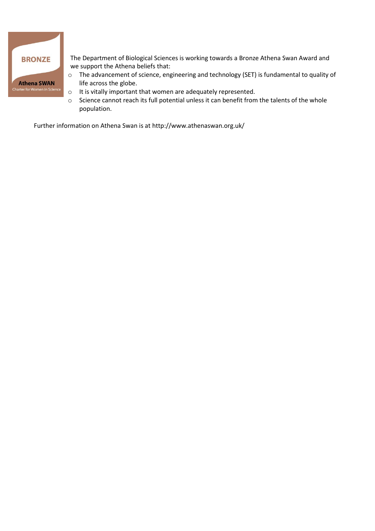

The Department of Biological Sciences is working towards a Bronze Athena Swan Award and we support the Athena beliefs that:

- o The advancement of science, engineering and technology (SET) is fundamental to quality of life across the globe.
- o It is vitally important that women are adequately represented.
- o Science cannot reach its full potential unless it can benefit from the talents of the whole population.

Further information on Athena Swan is a[t http://www.athenaswan.org.uk/](http://www.athenaswan.org.uk/)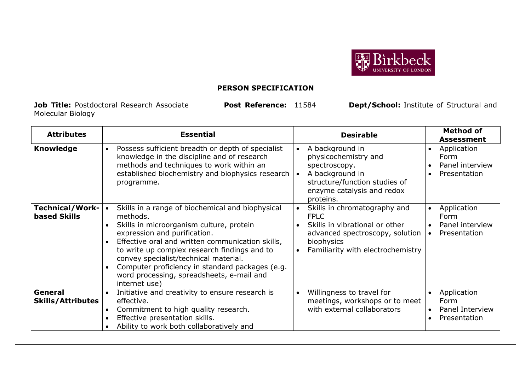

# **PERSON SPECIFICATION**

**Job Title:** Postdoctoral Research Associate **Post Reference:** 11584 **Dept/School:** Institute of Structural and Molecular Biology

| <b>Attributes</b>                             | <b>Essential</b>                                                                                                                                                                                                                                                                                                                                                                                                                              | <b>Desirable</b>                                                                                                                                                                 | <b>Method of</b><br><b>Assessment</b>                                            |
|-----------------------------------------------|-----------------------------------------------------------------------------------------------------------------------------------------------------------------------------------------------------------------------------------------------------------------------------------------------------------------------------------------------------------------------------------------------------------------------------------------------|----------------------------------------------------------------------------------------------------------------------------------------------------------------------------------|----------------------------------------------------------------------------------|
| <b>Knowledge</b>                              | Possess sufficient breadth or depth of specialist<br>$\bullet$<br>knowledge in the discipline and of research<br>methods and techniques to work within an<br>established biochemistry and biophysics research   •<br>programme.                                                                                                                                                                                                               | A background in<br>$\bullet$<br>physicochemistry and<br>spectroscopy.<br>A background in<br>structure/function studies of<br>enzyme catalysis and redox<br>proteins.             | Application<br>Form<br>Panel interview<br>Presentation                           |
| <b>Technical/Work-</b><br><b>based Skills</b> | Skills in a range of biochemical and biophysical<br>$\bullet$<br>methods.<br>Skills in microorganism culture, protein<br>expression and purification.<br>Effective oral and written communication skills,<br>$\bullet$<br>to write up complex research findings and to<br>convey specialist/technical material.<br>Computer proficiency in standard packages (e.g.<br>$\bullet$<br>word processing, spreadsheets, e-mail and<br>internet use) | Skills in chromatography and<br>$\bullet$<br><b>FPLC</b><br>Skills in vibrational or other<br>advanced spectroscopy, solution<br>biophysics<br>Familiarity with electrochemistry | Application<br>$\bullet$<br>Form<br>Panel interview<br>Presentation<br>$\bullet$ |
| General<br><b>Skills/Attributes</b>           | Initiative and creativity to ensure research is<br>effective.<br>Commitment to high quality research.<br>$\bullet$<br>Effective presentation skills.<br>Ability to work both collaboratively and                                                                                                                                                                                                                                              | Willingness to travel for<br>$\bullet$<br>meetings, workshops or to meet<br>with external collaborators                                                                          | Application<br>Form<br>Panel Interview<br>Presentation<br>$\bullet$              |